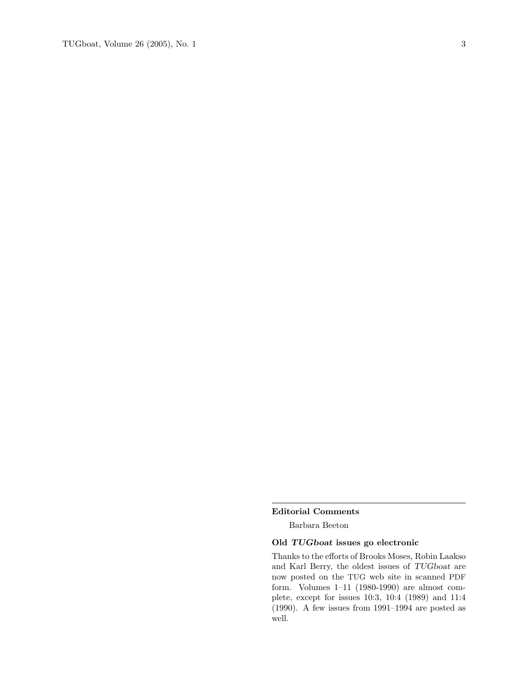#### Editorial Comments

Barbara Beeton

# Old TUGboat issues go electronic

Thanks to the efforts of Brooks Moses, Robin Laakso and Karl Berry, the oldest issues of TUGboat are now posted on the TUG web site in scanned PDF form. Volumes 1–11 (1980-1990) are almost complete, except for issues 10:3, 10:4 (1989) and 11:4 (1990). A few issues from 1991–1994 are posted as well.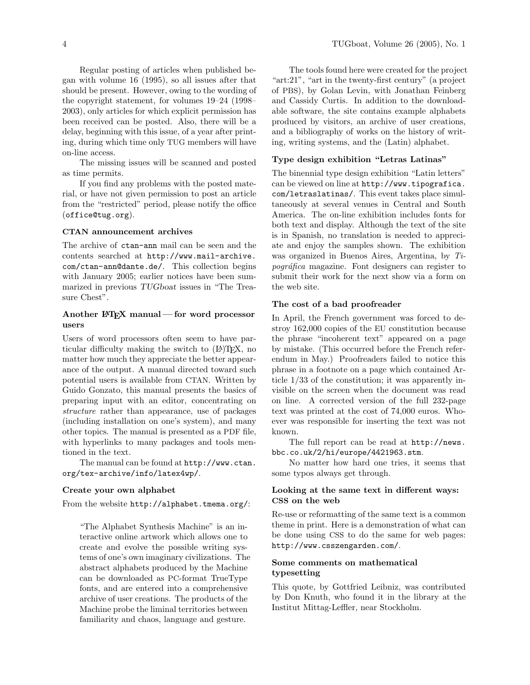Regular posting of articles when published began with volume 16 (1995), so all issues after that should be present. However, owing to the wording of the copyright statement, for volumes 19–24 (1998– 2003), only articles for which explicit permission has been received can be posted. Also, there will be a delay, beginning with this issue, of a year after printing, during which time only TUG members will have on-line access.

The missing issues will be scanned and posted as time permits.

If you find any problems with the posted material, or have not given permission to post an article from the "restricted" period, please notify the office (office@tug.org).

### CTAN announcement archives

The archive of ctan-ann mail can be seen and the contents searched at http://www.mail-archive. com/ctan-ann@dante.de/. This collection begins with January 2005; earlier notices have been summarized in previous TUGboat issues in "The Treasure Chest".

# Another  $\mathbb{M}$ <sub>EX</sub> manual — for word processor users

Users of word processors often seem to have particular difficulty making the switch to  $(E)$ T<sub>E</sub>X, no matter how much they appreciate the better appearance of the output. A manual directed toward such potential users is available from CTAN. Written by Guido Gonzato, this manual presents the basics of preparing input with an editor, concentrating on structure rather than appearance, use of packages (including installation on one's system), and many other topics. The manual is presented as a PDF file, with hyperlinks to many packages and tools mentioned in the text.

The manual can be found at http://www.ctan. org/tex-archive/info/latex4wp/.

### Create your own alphabet

From the website http://alphabet.tmema.org/:

"The Alphabet Synthesis Machine" is an interactive online artwork which allows one to create and evolve the possible writing systems of one's own imaginary civilizations. The abstract alphabets produced by the Machine can be downloaded as PC-format TrueType fonts, and are entered into a comprehensive archive of user creations. The products of the Machine probe the liminal territories between familiarity and chaos, language and gesture.

The tools found here were created for the project "art:21", "art in the twenty-first century" (a project of PBS), by Golan Levin, with Jonathan Feinberg and Cassidy Curtis. In addition to the downloadable software, the site contains example alphabets produced by visitors, an archive of user creations, and a bibliography of works on the history of writing, writing systems, and the (Latin) alphabet.

#### Type design exhibition "Letras Latinas"

The binennial type design exhibition "Latin letters" can be viewed on line at http://www.tipografica. com/letraslatinas/. This event takes place simultaneously at several venues in Central and South America. The on-line exhibition includes fonts for both text and display. Although the text of the site is in Spanish, no translation is needed to appreciate and enjoy the samples shown. The exhibition was organized in Buenos Aires, Argentina, by Ti $pogr\acute{a}fica$  magazine. Font designers can register to submit their work for the next show via a form on the web site.

## The cost of a bad proofreader

In April, the French government was forced to destroy 162,000 copies of the EU constitution because the phrase "incoherent text" appeared on a page by mistake. (This occurred before the French referendum in May.) Proofreaders failed to notice this phrase in a footnote on a page which contained Article 1/33 of the constitution; it was apparently invisible on the screen when the document was read on line. A corrected version of the full 232-page text was printed at the cost of 74,000 euros. Whoever was responsible for inserting the text was not known.

The full report can be read at http://news. bbc.co.uk/2/hi/europe/4421963.stm.

No matter how hard one tries, it seems that some typos always get through.

# Looking at the same text in different ways: CSS on the web

Re-use or reformatting of the same text is a common theme in print. Here is a demonstration of what can be done using CSS to do the same for web pages: http://www.csszengarden.com/.

### Some comments on mathematical typesetting

This quote, by Gottfried Leibniz, was contributed by Don Knuth, who found it in the library at the Institut Mittag-Leffler, near Stockholm.